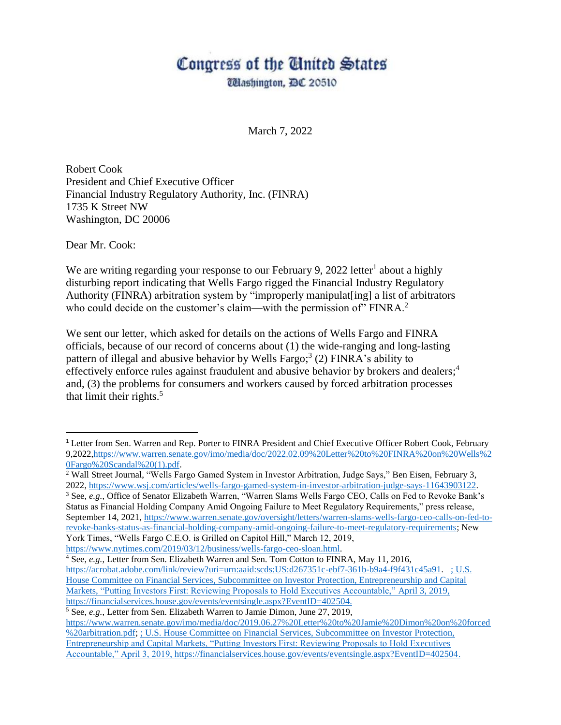## Congress of the Ginited States

**Washington, DC 20510** 

March 7, 2022

Robert Cook President and Chief Executive Officer Financial Industry Regulatory Authority, Inc. (FINRA) 1735 K Street NW Washington, DC 20006

Dear Mr. Cook:

 $\overline{\phantom{a}}$ 

We are writing regarding your response to our February 9, 2022 letter<sup>1</sup> about a highly disturbing report indicating that Wells Fargo rigged the Financial Industry Regulatory Authority (FINRA) arbitration system by "improperly manipulat[ing] a list of arbitrators who could decide on the customer's claim—with the permission of  $\mathrm{FINRA}$ <sup>2</sup>

We sent our letter, which asked for details on the actions of Wells Fargo and FINRA officials, because of our record of concerns about (1) the wide-ranging and long-lasting pattern of illegal and abusive behavior by Wells Fargo;<sup>3</sup> (2) FINRA's ability to effectively enforce rules against fraudulent and abusive behavior by brokers and dealers; 4 and, (3) the problems for consumers and workers caused by forced arbitration processes that limit their rights. $5$ 

<sup>3</sup> See, *e.g.*, Office of Senator Elizabeth Warren, "Warren Slams Wells Fargo CEO, Calls on Fed to Revoke Bank's Status as Financial Holding Company Amid Ongoing Failure to Meet Regulatory Requirements," press release, September 14, 2021, [https://www.warren.senate.gov/oversight/letters/warren-slams-wells-fargo-ceo-calls-on-fed-to](https://www.warren.senate.gov/oversight/letters/warren-slams-wells-fargo-ceo-calls-on-fed-to-revoke-banks-status-as-financial-holding-company-amid-ongoing-failure-to-meet-regulatory-requirements)[revoke-banks-status-as-financial-holding-company-amid-ongoing-failure-to-meet-regulatory-requirements;](https://www.warren.senate.gov/oversight/letters/warren-slams-wells-fargo-ceo-calls-on-fed-to-revoke-banks-status-as-financial-holding-company-amid-ongoing-failure-to-meet-regulatory-requirements) New York Times, "Wells Fargo C.E.O. is Grilled on Capitol Hill," March 12, 2019,

[https://www.nytimes.com/2019/03/12/business/wells-fargo-ceo-sloan.html.](https://www.nytimes.com/2019/03/12/business/wells-fargo-ceo-sloan.html)

<sup>4</sup> See, *e.g.*, Letter from Sen. Elizabeth Warren and Sen. Tom Cotton to FINRA, May 11, 2016, [https://acrobat.adobe.com/link/review?uri=urn:aaid:scds:US:d267351c-ebf7-361b-b9a4-f9f431c45a91.](https://acrobat.adobe.com/link/review?uri=urn:aaid:scds:US:d267351c-ebf7-361b-b9a4-f9f431c45a91) ; U.S. House Committee on Financial Services, Subcommittee on Investor Protection, Entrepreneurship and Capital Markets, "Putting Investors First: Reviewing Proposals to Hold Executives Accountable," April 3, 2019, [https://financialservices.house.gov/events/eventsingle.aspx?EventID=402504.](https://financialservices.house.gov/events/eventsingle.aspx?EventID=402504)

<sup>&</sup>lt;sup>1</sup> Letter from Sen. Warren and Rep. Porter to FINRA President and Chief Executive Officer Robert Cook, February 9,2022[,https://www.warren.senate.gov/imo/media/doc/2022.02.09%20Letter%20to%20FINRA%20on%20Wells%2](https://www.warren.senate.gov/imo/media/doc/2022.02.09%20Letter%20to%20FINRA%20on%20Wells%20Fargo%20Scandal%20(1).pdf) [0Fargo%20Scandal%20\(1\).pdf.](https://www.warren.senate.gov/imo/media/doc/2022.02.09%20Letter%20to%20FINRA%20on%20Wells%20Fargo%20Scandal%20(1).pdf)

<sup>2</sup> Wall Street Journal, "Wells Fargo Gamed System in Investor Arbitration, Judge Says," Ben Eisen, February 3, 2022, [https://www.wsj.com/articles/wells-fargo-gamed-system-in-investor-arbitration-judge-says-11643903122.](https://www.wsj.com/articles/wells-fargo-gamed-system-in-investor-arbitration-judge-says-11643903122)

<sup>5</sup> See, *e.g.*, Letter from Sen. Elizabeth Warren to Jamie Dimon, June 27, 2019, [https://www.warren.senate.gov/imo/media/doc/2019.06.27%20Letter%20to%20Jamie%20Dimon%20on%20forced](https://www.warren.senate.gov/imo/media/doc/2019.06.27%20Letter%20to%20Jamie%20Dimon%20on%20forced%20arbitration.pdf) [%20arbitration.pdf;](https://www.warren.senate.gov/imo/media/doc/2019.06.27%20Letter%20to%20Jamie%20Dimon%20on%20forced%20arbitration.pdf) ; U.S. House Committee on Financial Services, Subcommittee on Investor Protection, Entrepreneurship and Capital Markets, "Putting Investors First: Reviewing Proposals to Hold Executives Accountable," April 3, 2019[, https://financialservices.house.gov/events/eventsingle.aspx?EventID=402504.](https://financialservices.house.gov/events/eventsingle.aspx?EventID=402504)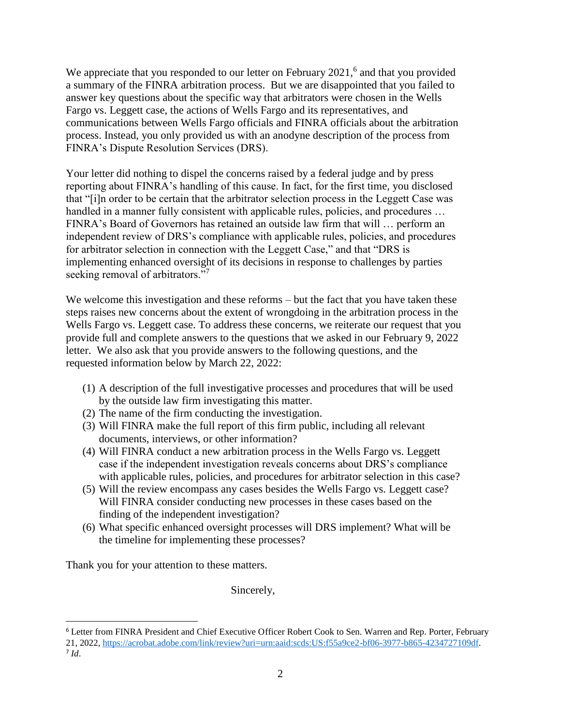We appreciate that you responded to our letter on February 2021,<sup>6</sup> and that you provided a summary of the FINRA arbitration process. But we are disappointed that you failed to answer key questions about the specific way that arbitrators were chosen in the Wells Fargo vs. Leggett case, the actions of Wells Fargo and its representatives, and communications between Wells Fargo officials and FINRA officials about the arbitration process. Instead, you only provided us with an anodyne description of the process from FINRA's Dispute Resolution Services (DRS).

Your letter did nothing to dispel the concerns raised by a federal judge and by press reporting about FINRA's handling of this cause. In fact, for the first time, you disclosed that "[i]n order to be certain that the arbitrator selection process in the Leggett Case was handled in a manner fully consistent with applicable rules, policies, and procedures ... FINRA's Board of Governors has retained an outside law firm that will … perform an independent review of DRS's compliance with applicable rules, policies, and procedures for arbitrator selection in connection with the Leggett Case," and that "DRS is implementing enhanced oversight of its decisions in response to challenges by parties seeking removal of arbitrators."<sup>7</sup>

We welcome this investigation and these reforms – but the fact that you have taken these steps raises new concerns about the extent of wrongdoing in the arbitration process in the Wells Fargo vs. Leggett case. To address these concerns, we reiterate our request that you provide full and complete answers to the questions that we asked in our February 9, 2022 letter. We also ask that you provide answers to the following questions, and the requested information below by March 22, 2022:

- (1) A description of the full investigative processes and procedures that will be used by the outside law firm investigating this matter.
- (2) The name of the firm conducting the investigation.
- (3) Will FINRA make the full report of this firm public, including all relevant documents, interviews, or other information?
- (4) Will FINRA conduct a new arbitration process in the Wells Fargo vs. Leggett case if the independent investigation reveals concerns about DRS's compliance with applicable rules, policies, and procedures for arbitrator selection in this case?
- (5) Will the review encompass any cases besides the Wells Fargo vs. Leggett case? Will FINRA consider conducting new processes in these cases based on the finding of the independent investigation?
- (6) What specific enhanced oversight processes will DRS implement? What will be the timeline for implementing these processes?

Thank you for your attention to these matters.

 $\overline{\phantom{a}}$ 

Sincerely,

<sup>6</sup> Letter from FINRA President and Chief Executive Officer Robert Cook to Sen. Warren and Rep. Porter, February 21, 2022, [https://acrobat.adobe.com/link/review?uri=urn:aaid:scds:US:f55a9ce2-bf06-3977-b865-4234727109df.](https://acrobat.adobe.com/link/review?uri=urn:aaid:scds:US:f55a9ce2-bf06-3977-b865-4234727109df) 7 *Id*.